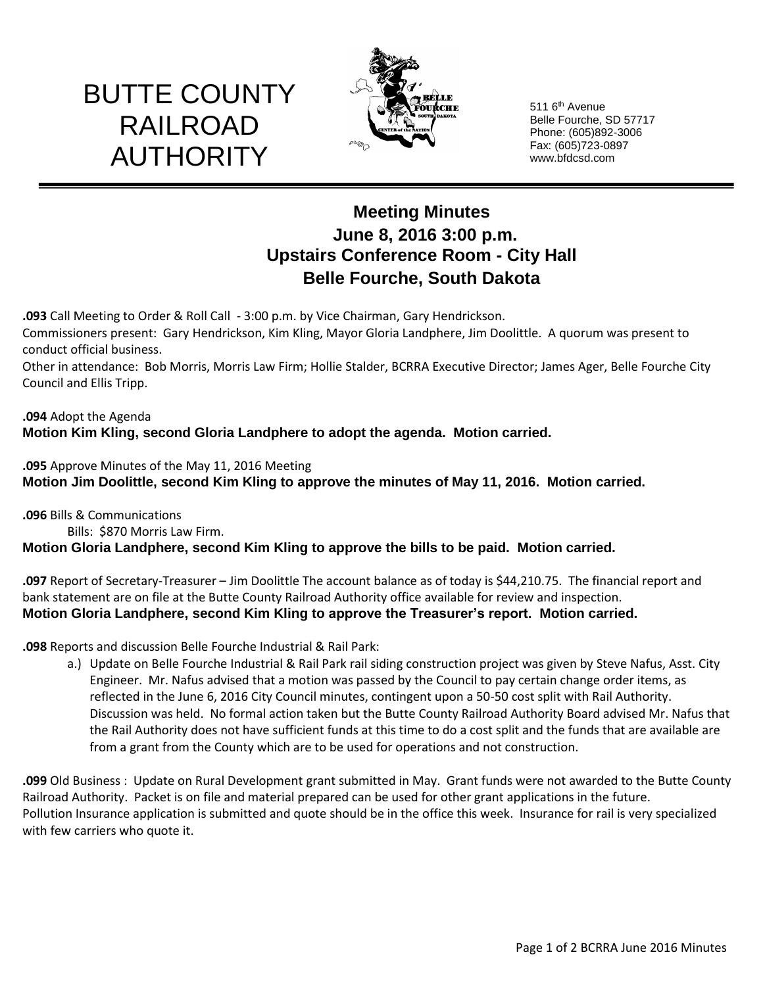# BUTTE COUNTY RAILROAD AUTHORITY



511 6<sup>th</sup> Avenue Belle Fourche, SD 57717 Phone: (605)892-3006 Fax: (605)723-0897 www.bfdcsd.com

# **Meeting Minutes June 8, 2016 3:00 p.m. Upstairs Conference Room - City Hall Belle Fourche, South Dakota**

**.093** Call Meeting to Order & Roll Call - 3:00 p.m. by Vice Chairman, Gary Hendrickson. Commissioners present: Gary Hendrickson, Kim Kling, Mayor Gloria Landphere, Jim Doolittle. A quorum was present to conduct official business.

Other in attendance: Bob Morris, Morris Law Firm; Hollie Stalder, BCRRA Executive Director; James Ager, Belle Fourche City Council and Ellis Tripp.

### **.094** Adopt the Agenda **Motion Kim Kling, second Gloria Landphere to adopt the agenda. Motion carried.**

**.095** Approve Minutes of the May 11, 2016 Meeting **Motion Jim Doolittle, second Kim Kling to approve the minutes of May 11, 2016. Motion carried.**

**.096** Bills & Communications Bills: \$870 Morris Law Firm. **Motion Gloria Landphere, second Kim Kling to approve the bills to be paid. Motion carried.**

**.097** Report of Secretary-Treasurer – Jim Doolittle The account balance as of today is \$44,210.75. The financial report and bank statement are on file at the Butte County Railroad Authority office available for review and inspection. **Motion Gloria Landphere, second Kim Kling to approve the Treasurer's report. Motion carried.**

**.098** Reports and discussion Belle Fourche Industrial & Rail Park:

a.) Update on Belle Fourche Industrial & Rail Park rail siding construction project was given by Steve Nafus, Asst. City Engineer. Mr. Nafus advised that a motion was passed by the Council to pay certain change order items, as reflected in the June 6, 2016 City Council minutes, contingent upon a 50-50 cost split with Rail Authority. Discussion was held. No formal action taken but the Butte County Railroad Authority Board advised Mr. Nafus that the Rail Authority does not have sufficient funds at this time to do a cost split and the funds that are available are from a grant from the County which are to be used for operations and not construction.

**.099** Old Business : Update on Rural Development grant submitted in May. Grant funds were not awarded to the Butte County Railroad Authority. Packet is on file and material prepared can be used for other grant applications in the future. Pollution Insurance application is submitted and quote should be in the office this week. Insurance for rail is very specialized with few carriers who quote it.